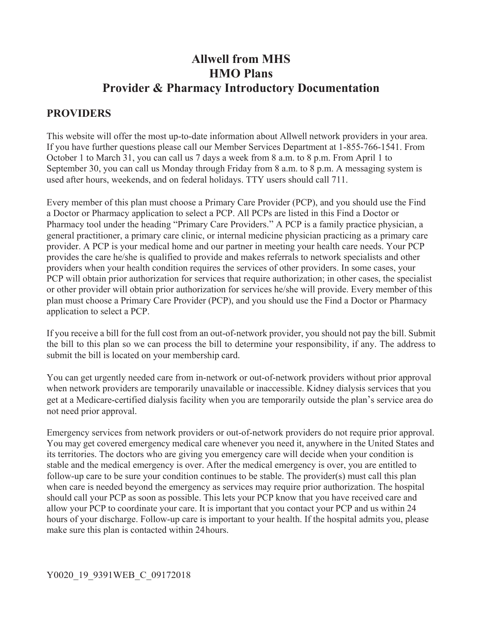# **Allwell from MHS HMO Plans Provider & Pharmacy Introductory Documentation**

### **PROVIDERS**

This website will offer the most up-to-date information about Allwell network providers in your area. If you have further questions please call our Member Services Department at 1-855-766-1541. From October 1 to March 31, you can call us 7 days a week from 8 a.m. to 8 p.m. From April 1 to September 30, you can call us Monday through Friday from 8 a.m. to 8 p.m. A messaging system is used after hours, weekends, and on federal holidays. TTY users should call 711.

Every member of this plan must choose a Primary Care Provider (PCP), and you should use the Find a Doctor or Pharmacy application to select a PCP. All PCPs are listed in this Find a Doctor or Pharmacy tool under the heading "Primary Care Providers." A PCP is a family practice physician, a general practitioner, a primary care clinic, or internal medicine physician practicing as a primary care provider. A PCP is your medical home and our partner in meeting your health care needs. Your PCP provides the care he/she is qualified to provide and makes referrals to network specialists and other providers when your health condition requires the services of other providers. In some cases, your PCP will obtain prior authorization for services that require authorization; in other cases, the specialist or other provider will obtain prior authorization for services he/she will provide. Every member of this plan must choose a Primary Care Provider (PCP), and you should use the Find a Doctor or Pharmacy application to select a PCP.

If you receive a bill for the full cost from an out-of-network provider, you should not pay the bill. Submit the bill to this plan so we can process the bill to determine your responsibility, if any. The address to submit the bill is located on your membership card.

You can get urgently needed care from in-network or out-of-network providers without prior approval when network providers are temporarily unavailable or inaccessible. Kidney dialysis services that you get at a Medicare-certified dialysis facility when you are temporarily outside the plan's service area do not need prior approval.

Emergency services from network providers or out-of-network providers do not require prior approval. You may get covered emergency medical care whenever you need it, anywhere in the United States and its territories. The doctors who are giving you emergency care will decide when your condition is stable and the medical emergency is over. After the medical emergency is over, you are entitled to follow-up care to be sure your condition continues to be stable. The provider(s) must call this plan when care is needed beyond the emergency as services may require prior authorization. The hospital should call your PCP as soon as possible. This lets your PCP know that you have received care and allow your PCP to coordinate your care. It is important that you contact your PCP and us within 24 hours of your discharge. Follow-up care is important to your health. If the hospital admits you, please make sure this plan is contacted within 24 hours.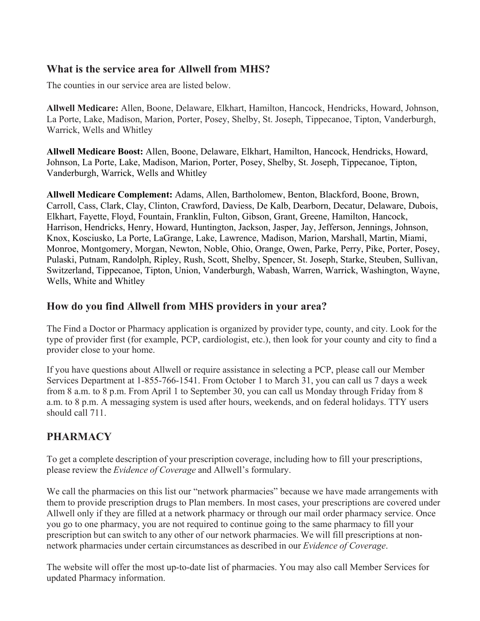#### **What is the service area for Allwell from MHS?**

The counties in our service area are listed below.

**Allwell Medicare:** Allen, Boone, Delaware, Elkhart, Hamilton, Hancock, Hendricks, Howard, Johnson, La Porte, Lake, Madison, Marion, Porter, Posey, Shelby, St. Joseph, Tippecanoe, Tipton, Vanderburgh, Warrick, Wells and Whitley

**Allwell Medicare Boost:** Allen, Boone, Delaware, Elkhart, Hamilton, Hancock, Hendricks, Howard, Johnson, La Porte, Lake, Madison, Marion, Porter, Posey, Shelby, St. Joseph, Tippecanoe, Tipton, Vanderburgh, Warrick, Wells and Whitley

**Allwell Medicare Complement:** Adams, Allen, Bartholomew, Benton, Blackford, Boone, Brown, Carroll, Cass, Clark, Clay, Clinton, Crawford, Daviess, De Kalb, Dearborn, Decatur, Delaware, Dubois, Elkhart, Fayette, Floyd, Fountain, Franklin, Fulton, Gibson, Grant, Greene, Hamilton, Hancock, Harrison, Hendricks, Henry, Howard, Huntington, Jackson, Jasper, Jay, Jefferson, Jennings, Johnson, Knox, Kosciusko, La Porte, LaGrange, Lake, Lawrence, Madison, Marion, Marshall, Martin, Miami, Monroe, Montgomery, Morgan, Newton, Noble, Ohio, Orange, Owen, Parke, Perry, Pike, Porter, Posey, Pulaski, Putnam, Randolph, Ripley, Rush, Scott, Shelby, Spencer, St. Joseph, Starke, Steuben, Sullivan, Switzerland, Tippecanoe, Tipton, Union, Vanderburgh, Wabash, Warren, Warrick, Washington, Wayne, Wells, White and Whitley

#### **How do you find Allwell from MHS providers in your area?**

The Find a Doctor or Pharmacy application is organized by provider type, county, and city. Look for the type of provider first (for example, PCP, cardiologist, etc.), then look for your county and city to find a provider close to your home.

If you have questions about Allwell or require assistance in selecting a PCP, please call our Member Services Department at 1-855-766-1541. From October 1 to March 31, you can call us 7 days a week from 8 a.m. to 8 p.m. From April 1 to September 30, you can call us Monday through Friday from 8 a.m. to 8 p.m. A messaging system is used after hours, weekends, and on federal holidays. TTY users should call 711.

## **PHARMACY**

To get a complete description of your prescription coverage, including how to fill your prescriptions, please review the *Evidence of Coverage* and Allwell's formulary.

We call the pharmacies on this list our "network pharmacies" because we have made arrangements with them to provide prescription drugs to Plan members. In most cases, your prescriptions are covered under Allwell only if they are filled at a network pharmacy or through our mail order pharmacy service. Once you go to one pharmacy, you are not required to continue going to the same pharmacy to fill your prescription but can switch to any other of our network pharmacies. We will fill prescriptions at nonnetwork pharmacies under certain circumstances as described in our *Evidence of Coverage*.

The website will offer the most up-to-date list of pharmacies. You may also call Member Services for updated Pharmacy information.